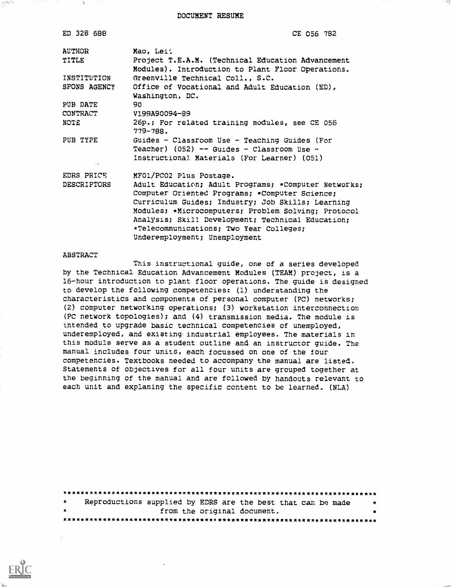DOCUMENT RESUME

| CE 056 782                                                                                                                                                                                                                                                                                                                                          |
|-----------------------------------------------------------------------------------------------------------------------------------------------------------------------------------------------------------------------------------------------------------------------------------------------------------------------------------------------------|
| Mao, Leii                                                                                                                                                                                                                                                                                                                                           |
| Project T.E.A.M. (Technical Education Advancement<br>Modules). Introduction to Plant Floor Operations.                                                                                                                                                                                                                                              |
| Greenville Technical Coll., S.C.                                                                                                                                                                                                                                                                                                                    |
| Office of Vocational and Adult Education (ED),<br>Washington, DC.                                                                                                                                                                                                                                                                                   |
| 90                                                                                                                                                                                                                                                                                                                                                  |
| V199A90094-89                                                                                                                                                                                                                                                                                                                                       |
| 26p.; For related training modules, see CE 056<br>779-788.                                                                                                                                                                                                                                                                                          |
| Guides - Classroom Use - Teaching Guides (For<br>Teacher) (052) -- Guides - Classroom Use -<br>Instructional Materials (For Learner) (051)                                                                                                                                                                                                          |
| MFO1/PCO2 Plus Postage.                                                                                                                                                                                                                                                                                                                             |
| Adult Education; Adult Programs; *Computer Networks;<br>Computer Oriented Programs; *Computer Science;<br>Curriculum Guides; Industry; Job Skills; Learning<br>Modules; *Microcomputers; Problem Solving; Protocol<br>Analysis; Skill Development; Technical Education;<br>*Telecommunications; Two Year Colleges;<br>Underemployment; Unemployment |
|                                                                                                                                                                                                                                                                                                                                                     |

#### ABSTRACT

್ಷವಿಜುರು

This instructional guide, one of a series developed by the Technical Education Advancement Modules (TEAM) project, is a 16-hour introduction to plant floor operations. The guide is designed to develop the following competencies: (1) understanding the characteristics and components of personal computer (PC) networks; (2) computer networking operations; (3) workstation interconnection (PC network topologies); and (4) transmission media. The module is intended to upgrade basic technical competencies of unemployed, underemployed, and existing industrial employees. The materials in this module serve as a student outline and an instructor guide. The manual includes four units, each focussed on one of the four competencies. Textbooks needed to accompany the manual are listed. Statements of objectives for all four units are grouped together at the beginning of the manual and are followed by handouts relevant to each unit and explaning the specific content to be learned. (NLA)

|   |  | Reproductions supplied by EDRS are the best that can be made | 大 |
|---|--|--------------------------------------------------------------|---|
| 含 |  | from the original document.                                  | * |
|   |  |                                                              |   |

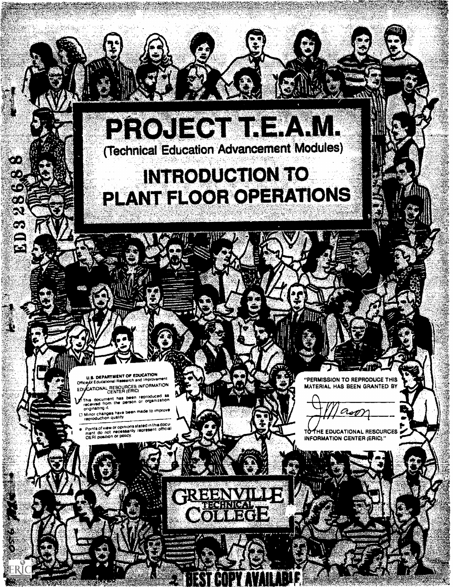## PROJECT IFAM. (Technical Education Advancement Modules)

To the contract of the contract of the contract of the contract of the contract of the contract of the contract of the contract of the contract of the contract of the contract of the contract of the contract of the contrac

# **INTRODUCTION TO** PLANT FLOOR OPERATIONS

**CONTRACTOR** 

**U.S. DEPARTMENT OF EDUCATION**<br>Office of Educational Research and Improvement<br>Office INFORMATION Office of Educational Resources INFORMATION

,

;t.

 $F_{\rm eff} = 1.1 \pm 0.00$  for  $F_{\rm eff} = 1.00$  for  $F_{\rm eff} = 1.00$  for  $F_{\rm eff} = 1.00$ 

e e de la proporcia del controlle del controlle del controlle del controlle del controlle de la controlle del<br>Controlle del controlle del controlle del controlle del controlle del controlle del controlle del controlle de

ð.

ÖĒ

 $\mathcal{X}$ ထ S)

 $\mathbf{C}$ 

 $\Omega$ 

This document has been reproduced as<br>received from the person or organization<br>onginating it.

onginating it.<br>I Minor changes have been made to improve<br>reproduction quality

Points of view or opinions stated in this document<br>ment do not necessarily represent official<br>CIERI position or policy.



 $\sim$   $\sim$ 

4,0

 $\mathscr{M}$  , ra a shekara

> "PERMISSION TO REPRODUCE THIS MATERIAL HAS BEEN GRANTED BY

 $12.29$ 

**TO THE EDUCATIONAL RESOURCES INFORMATION CENTER (ERIC)."**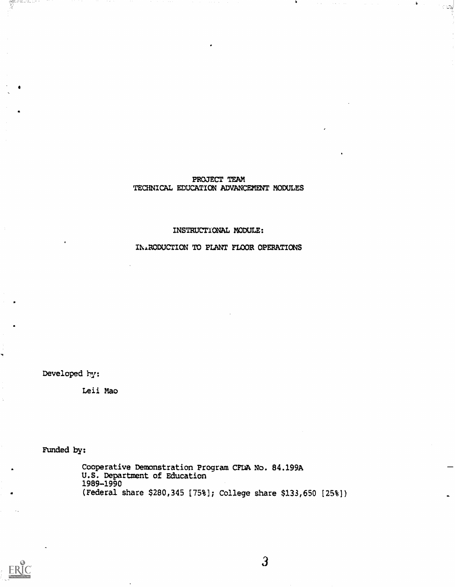## PROJECT TEAM TECHNICAL EDUCATION ADVANCEMENT MODULES

i Si

## INSTRUCTXONAL MODULE:

INARODUCTICN PO PLANT FLOOR OPERATIONS

Developed by:

aantankoittaa 117<br>H

Leii Mao

Funded by:

Cooperative Demonstration Program CFUA No. 84.199A U.S. Department of Education 1989-1990 (Federal share \$280,345 [75%) College share \$133,650 125%))

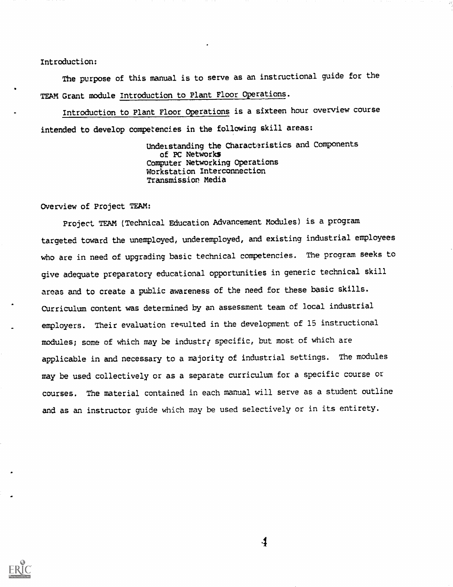#### Introduction:

The purpose of this manual is to serve as an instructional guide for the TEAM Grant module Introduction to Plant Floor Operations.

Introduction to Plant Floor Operations is a sixteen hour overview course intended to develop competencies in the following skill areas:

> Understanding the Characteristics and Components of PC Networks Computer Networking Operations Workstation Interconnection Transmission Media

Overview of Project TEAM:

Project TEAM (Technical Education Advancement Modules) is a program targeted toward the unemployed, underemployed, and existing industrial employees who are in need of upgrading basic technical competencies. The program seeks to give adequate preparatory educational opportunities in generic technical skill areas and to create a public awareness of the need for these basic skills. Curriculum content was determined by an assessment team of local industrial employers. Their evaluation resulted in the development of 15 instructional  $modules$ ; some of which may be industry specific, but most of which are applicable in and necessary to a majority of industrial settings. The modules nay be used collectively or as a separate curriculum for a specific course or courses. The material contained in each manual will serve as a student outline and as an instructor guide which may be used selectively or in its entirety.



 $\blacklozenge$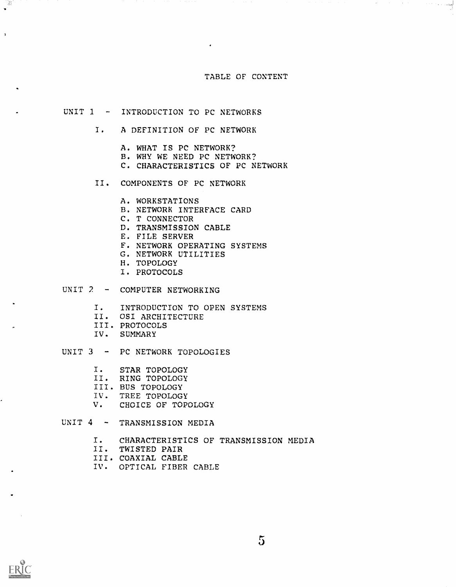#### TABLE OF CONTENT

ا <mark>پیدا ہے۔</mark> اس کے اس کا مطابق کا مطابق کا انتخاب کرتے ہیں۔<br>اقوام

## UNIT 1 - INTRODUCTION TO PC NETWORKS

- I. A DEFINITION OF PC NETWORK
	- A. WHAT IS PC NETWORK?
	- B. WHY WE NEED PC NETWORK?
	- C. CHARACTERISTICS OF PC NETWORK
- II. COMPONENTS OF PC NETWORK
	- A. WORKSTATIONS
	- B. NETWORK INTERFACE CARD
	- C. T CONNECTOR
	- D. TRANSMISSION CABLE
	- E. FILE SERVER
	- F. NETWORK OPERATING SYSTEMS
	- G. NETWORK UTILITIES
	- H. TOPOLOGY
	- I. PROTOCOLS
- UNIT 2 COMPUTER NETWORKING
	- I. INTRODUCTION TO OPEN SYSTEMS
	- II. OSI ARCHITECTURE
	- III. PROTOCOLS
	- IV. SUMMARY
- UNIT 3 PC NETWORK TOPOLOGIES
	- I. STAR TOPOLOGY
	- II. RING TOPOLOGY
	- III. BUS TOPOLOGY
	- IV. TREE TOPOLOGY
	- V. CHOICE OF TOPOLOGY

UNIT 4 - TRANSMISSION MEDIA

- I. CHARACTERISTICS OF TRANSMISSION MEDIA
- II. TWISTED PAIR
- III. COAXIAL CABLE
- IV. OPTICAL FIBER CABLE

È

 $\mathbf{r}$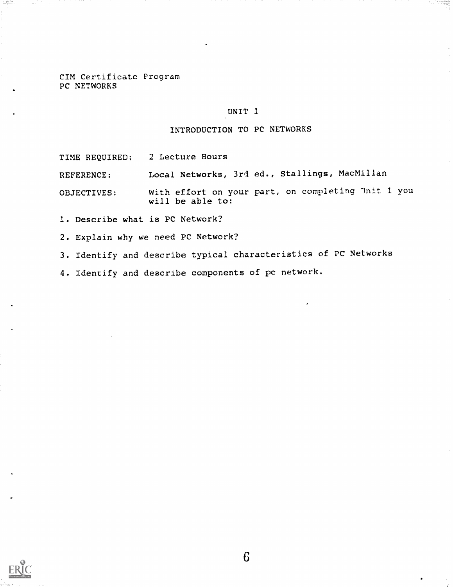C1M Certificate Program PC NETWORKS

#### UNIT I

#### INTRODUCTION TO PC NETWORKS

TIME REQUIRED: 2 Lecture Hours

REFERENCE: Local Networks, 3ri ed., Stallings, MacMillan

OBJECTIVES: With effort on your part, on completing 'Init 1 you will be able to:

1. Describe what is PC Network?

2. Explain why we need PC Network?

3. Identify and describe typical characteristics of PC Networks

4. Idencify and describe components of pc network.



لمنتجبة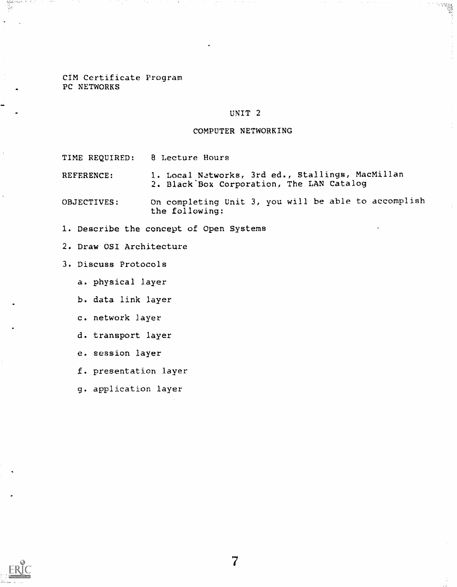## CIM Certificate Program PC NETWORKS

## UNIT 2

## COMPUTER NETWORKING

TIME REQUIRED: 8 Lecture Hours

REFERENCE: 1. Local Networks, 3rd ed., Stallings, MacMillan 2. Black'Box Corporation, The LAN Catalog

OBJECTIVES: On completing Unit 3, you will be able to accomplish the following:

- I. Describe the concept of Open Systems
- 2. Draw OSI Architecture
- 3. Discuss Protocols
	- a. physical layer
	- b. data link layer
	- c. network Layer
	- d. transport layer
	- e. session layer
	- f. presentation layer
	- g. application layer

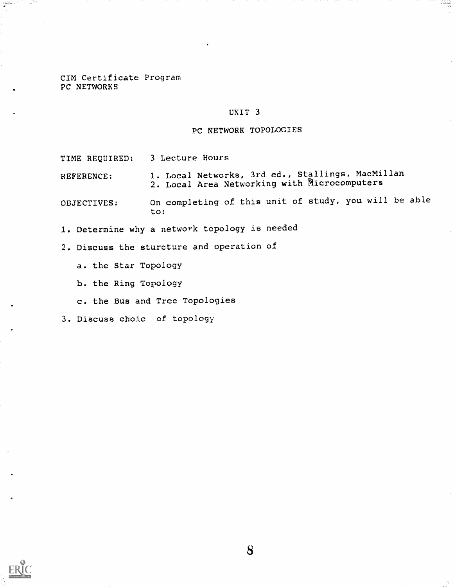## CIM Certificate Program PC NETWORKS

## UNIT 3

## PC NETWORK TOPOLOGIES

TIME REQUIRED: 3 Lecture Hours

REFERENCE; I. Local Networks, 3rd ed., Stallings, MacMillan 2. Local Area Networking with Ricrocomputers

OBJECTIVES: On completing of this unit of study, you will be able to:

I. Determine why a network topology is needed

2. Discuss the sturcture and operation of

a. the Star Topology

b. the Ring Topology

c. the Bus and Tree Topologies

3. Discuss choic of topology



a<del>n</del>ikuli ()<br>W

a 199

8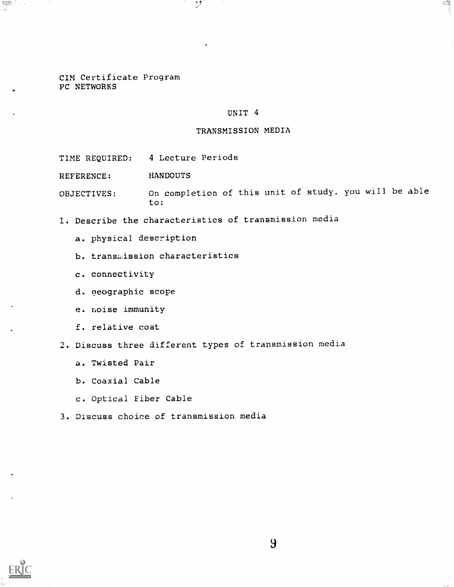CIM Certificate Program PC NETWORKS

#### UNIT 4

一度

#### TRANSMISSION MEDIA

TIME REQUIRED: 4 Lecture Periods

REFERENCE: HANDOUTS

OBJECTIVES: On completion of this unit of study, you will be able to:

1. Describe the characteristics of transmission media

 $\mathcal{D}$ 

- a. physical description
- b. transission characteristics
- c. connectivity
- d. geographic scope
- e. noise Immunity
- f. relative cost
- 2. Discuss three different types of transmission media
	- a. Twisted Pair
	- b. Coaxial Cable
	- c. Optical Fiber Cable
- 3. Discuss choice of transmission media



and Li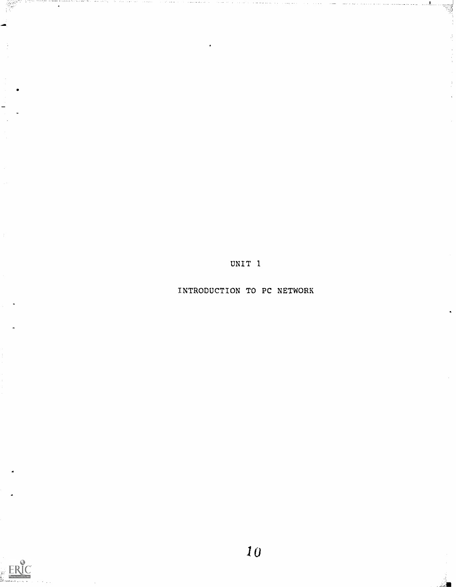UNIT 1

INTRODUCTION TO PC NETWORK

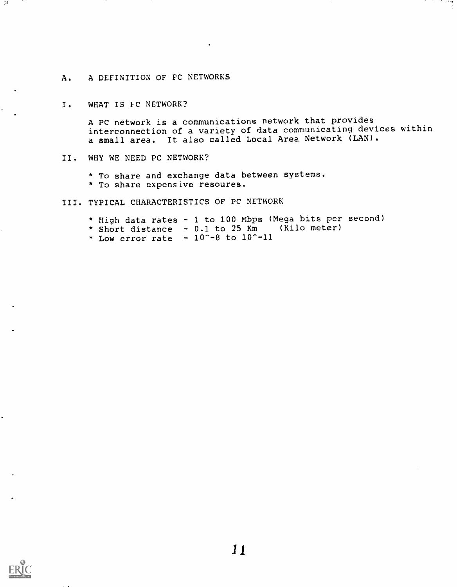## A. A DEFINITION OF PC NETWORKS

#### I. WHAT IS FC NETWORK?

A PC network is a communications network that provides interconnection of a variety of data communicating devices within a small area. It also called Local Area Network (LAN).

## II. WHY WE NEED PC NETWORK?

\* To share and exchange data between systems. \* To share expensive resoures.

## III. TYPICAL CHARACTERISTICS OF PC NETWORK

\* High data rates - 1 to 100 Mbps (Mega bits per second) \* Short distance - 0.1 to 25 Km (Kilo meter)  $\frac{x}{10}$  Low error rate  $-10$  -8 to  $10$  -11



751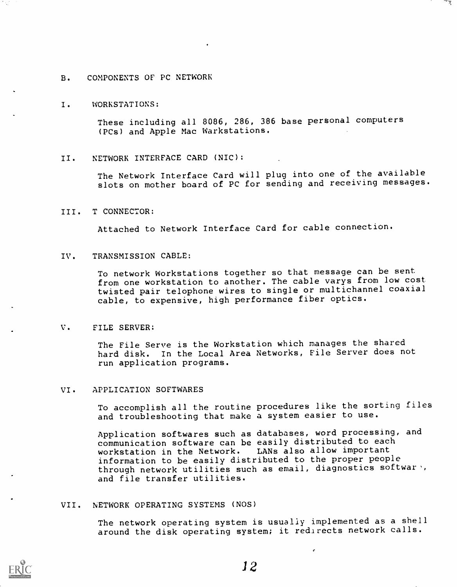## B. COMPONENTS OF PC NETWORK

#### I. WORKSTATIONS:

These including all 8086, 286, 386 base personal computers (PCs) and Apple Mac Warkstations.

#### II. NETWORK INTERFACE CARD (NIC):

The Network Interface Card will plug into one of the available slots on mother board of PC for sending and receiving messages.

#### III. T CONNECTOR:

Attached to Network Interface Card for cable connection.

#### IV. TRANSMISSION CABLE:

To network Workstations together so that message can be sent from one workstation to another. The cable varys from low cost twisted pair telophone wires to single or multichannel coaxial cable, to expensive, high performance fiber optics.

#### V. FILE SERVER:

The File Serve is the Workstation which manages the shared hard disk. In the Local Area Networks, File Server does not run application programs.

#### VI. APPLICATION SOFTWARES

To accomplish all the routine procedures like the sorting files and troubleshooting that make a system easier to use.

Application softwares such as databases, word processing, and communication software can be easily distributed to each workstation in the Network. LANs also allow important information to be easily distributed to the proper people through network utilities such as email, diagnostics softwar, and file transfer utilities.

#### VII. NETWORK OPERATING SYSTEMS (NOS)

The network operating system is usually implemented as a shell around the disk operating system; it redirects network calls.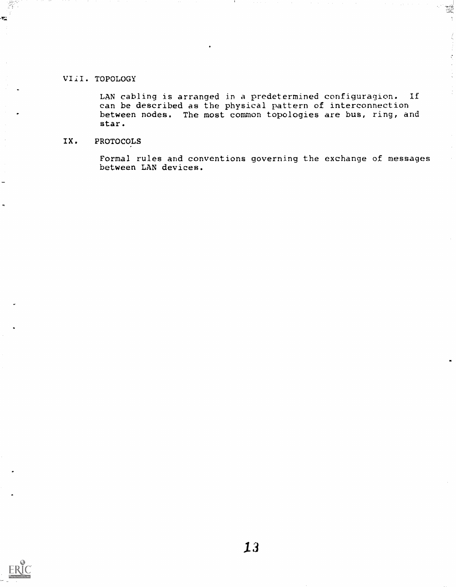## VIiI. TOPOLOGY

 $\mathbf{r}$ 

LAN cabling is arranged in a predetermined configuragion. If can be described as the physical pattern of interconnection between nodes. The most common topologies are bus, ring, and star.

W

## IX. PROTOCOLS

Formal rules and conventions governing the exchange of messages between LAN devices.

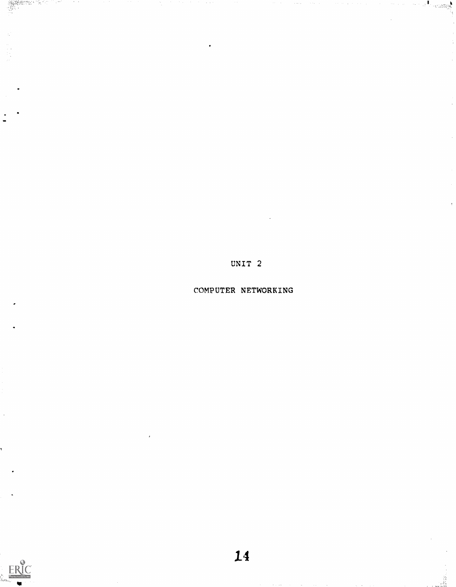UNIT 2

 $\cos\theta$ 

COMPUTER NETWORKING

 $ERIC$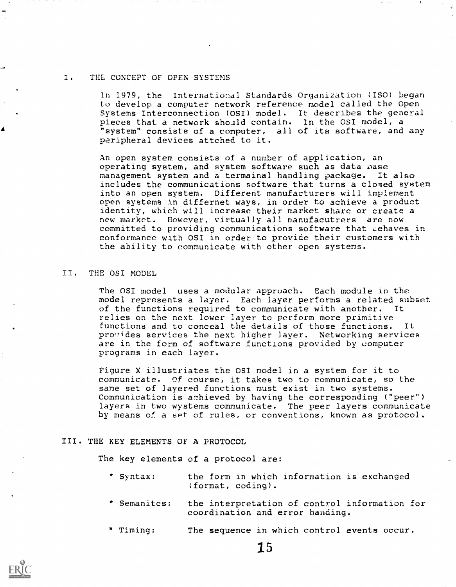### . THE CONCEPT OF OPEN SYSTEMS

In 1979, the International Standards Organization (ISO) began to develop a computer network reference model called the Open Systems Interconnection (OSI) model. It describes the general pieces that a network should contain. In the OSI model, a pieces that a network should contain. "system" consists of a computer, all of its software, and any peripheral devices attched to it.

An open system consists of a number of application, an operating system, and system software such as data mase management system and a termainal handling package. It also includes the communications software that turns a closed system into an open system. Different manufacturers will implement open systems in differnet ways, in order to achieve a product identity, which will increase their market share or create a new market. However, virtually all manufacutrers are now committed to providing communications software that Lehaves in conformance with OSI in order to provide their customers with the ability to communicate with other open systems.

## II. THE OSI MODEL

The OSI model uses a modular approach. Each module in the model represents a layer. Each layer performs a related subset of the functions required to communicate with another. It relies on the next lower layer to perform more primitive functions and to conceal the details of those functions. It pro.7ides services the next higher layer. Networking services are in the form of software functions provided by computer programs in each layer.

Figure X illustriates the OSI model in a system for it to communicate. Of course, it takes two to communicate, so the same set of layered functions must exist in two systems. Communication is achieved by having the corresponding ("peer") layers in two wystems communicate. The peer layers communicate by means of a set of rules, or conventions, known as protocol.

#### III. THE KEY ELEMENTS OF A PROTOCOL

The key elements of a protocol are:

- \* Syntax: the form in which information is exchanged (format, coding).
- \* Semanitcs: the interpretation of control information for coordination and error handing.
- \* Timing: The sequence in which control events occur.

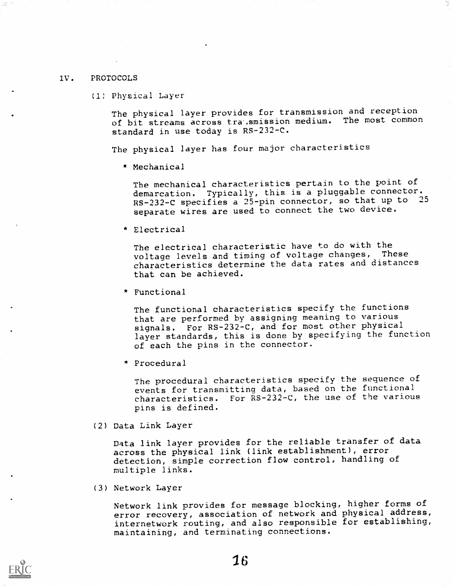#### IV. PROTOCOLS

(1; Physical Layer

The physical layer provides for transmission and reception of bit streams across tra smission medium. The most common standard in use today is RS-232-C.

The physical layer has four major characteristics

\* Mechanical

The mechanical characteristics pertain to the point of demarcation. Typically, this is a pluggable connector. RS-232-C specifies a 25-pin connector, so that up to <sup>25</sup> separate wires are used to connect the two device.

Electrical

The electrical characteristic have to do with the voltage levels and timing of voltage changes, These characteristics determine the data rates and distances that can be achieved.

\* Functional

The functional characteristics specify the functions that are performed by assigning meaning to various signals. For RS-232-C, and for most other physical layer standards, this is done by specifying the function of each the pins in the connector.

 $*$  Procedural

The procedural characteristics specify the sequence of events for transmitting data, based on the functional characteristics. For  $\tilde{R}S-232-C$ , the use of the various pins is defined.

(2) Data Link Layer

Data link layer provides for the reliable transfer of data across the physical link (link establishment), error detection, simple correction flow control, handling of multiple links.

(3) Network Layer

Network link provides for message blocking, higher forms of error recovery, association of network and physical address, internetwork routing, and also responsible for establishing, maintaining, and terminating connections.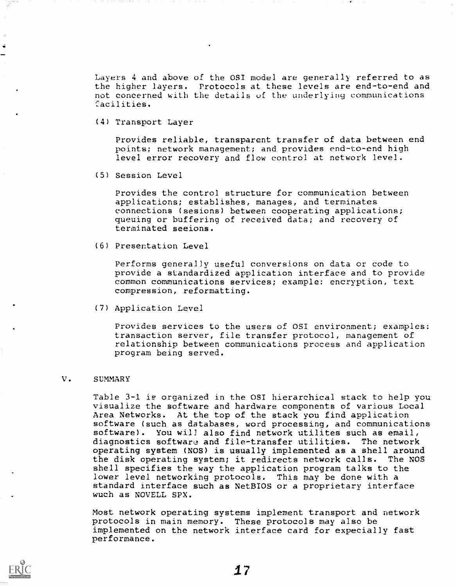Layers 4 and above of the OSI model are generally referred to as the higher layers. Protocols at these levels are end-to-end and not concerned with the details of the underlying communications facilities.

(4) Transport Layer

Provides reliable, transparent transfer of data between end points; network management; and provides end-to-end high level error recovery and flow control at network level.

(5) Session Level

Provides the control structure for communication between applications; establishes, manages, and terminates connections (sesions) between cooperating applications; queuing or buffering of received data; and recovery of terminated seeions.

(6) Presentation Level

Performs generally useful conversions on data or code to provide a standardized application interface and to provide common communications services; example: encryption, text compression, reformatting.

(7) Application Level

Provides services to the users of OSI environment; examples: transaction server, file transfer protocol, management of relationship between communications process and application program being served.

#### V. SUMMARY

Table 3-1 is organized in the OST hierarchical stack to help you visualize the software and hardware components of various Local Area Networks. At the top of the stack you find application software (such as databases, word processing, and communications software). You will also find network utilites such as email, diagnostics software and file-transfer utilities. The network operating system (NOS) is usually implemented as a shell around the disk operating system; it redirects network calls. The NOS shell specifies the way the application program talks to the lower level networking protocols. This may be done with a standard interface such as NetBIOS or a proprietary interface wuch as NOVELL SPX.

Most network operating systems implement transport and network protocols in main memory. These protocols may also be implemented on the network interface card for expecially fast performance.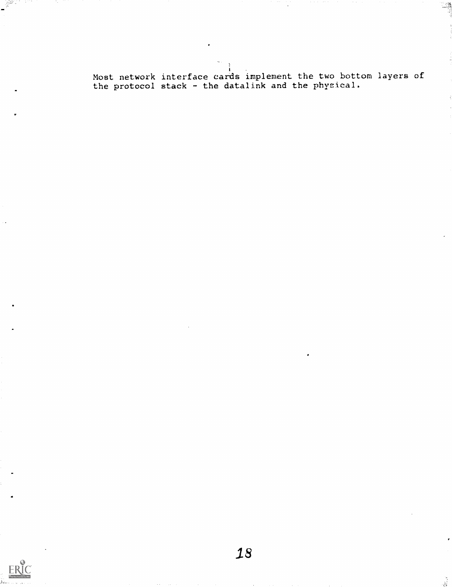Most network interface cards implement the two bottom layers of the protocol stack - the datalink and the physical.

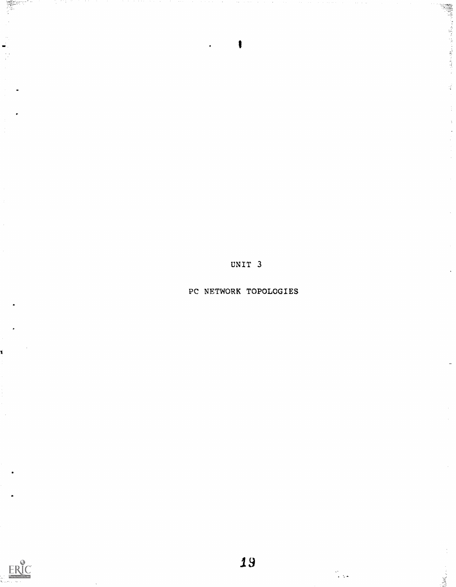UNIT 3

I

ş

PC NETWORK TOPOLOGIES



 $\zeta$  .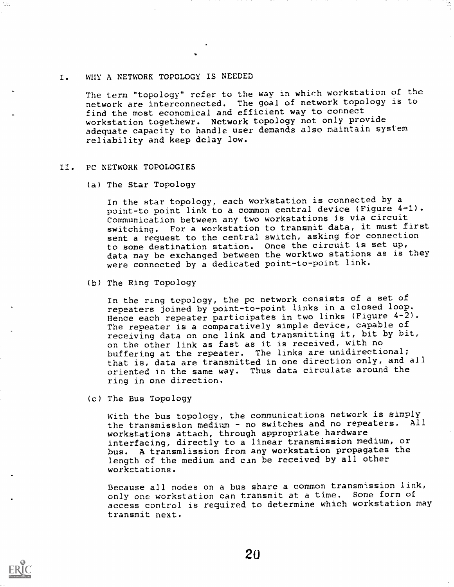## I. WHY A NETWORK TOPOLOGY IS NEEDED

The term "topology" refer to the way in which workstation of the network are interconnected. The goal of network topology is to find the most economical and efficient way to connect workstation togethewr. Network topology not only provide adequate capacity to handle user demands also maintain system reliability and keep delay low.

#### II. PC NETWORK TOPOLOGIES

(a) The Star Topology

In the star topology, each workstation is connected by a point-to point link to a common central device (Figure 4-1). Communication between any two workstations is via circuit switching. For a workstation to transmit data, it must first sent a request to the central switch, asking for connection to some destination station. Once the circuit is set up, data may be exchanged between the worktwo stations as is they were connected by a dedicated point-to-point link.

(b) The Ring Topology

In the ring topology, the pc network consists of a set of repeaters joined by point-to-point links in a closed loop. Hence each repeater participates in two links (Figure 4-2). The repeater is a comparatively simple device, capable of receiving data on one link and transmitting it, bit by bit, on the other link as fast as it is received, with no buffering at the repeater. The links are unidirectional; that is, data are transmitted in one direction only, and all oriented in the same way. Thus data circulate around the ring in one direction.

(c) The Bus Topology

With the bus topology, the communications network is simply the transmission medium - no switches and no repeaters. All workstations attach, through appropriate hardware interfacing, directly to a linear transmission medium, or bus. A transmlission from any workstation propagates the length of the medium and can be received by all other workstations.

Because all nodes on a bus share a common transmission link, only one workstation can transmit at a time. Some form of access control is required to determine which workstation may transmit next.

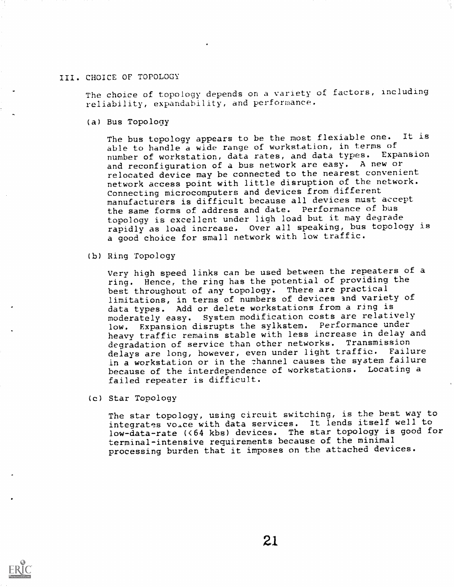#### III. CHOICE OF TOPOLOGY

The choice of topology depends on a variety of factors, including reliability, expandability, and performance.

(a) Bus Topology

The bus topology appears to be the most flexiable one. It is able to handle a wide range of workstation, in terms of number of workstation, data rates, and data types. Expansion and reconfiguration of a bus network are easy. A new or relocated device may be connected to the nearest convenient network access point with little disruption of the network. Connecting microcomputers and devices from different manufacturers is difficult because all devices must accept the same forms of address and date. Performance of bus topology is excellent under ligh load but it may degrade rapidly as load increase. Over all speaking, bus topology is a good choice for small network with low traffic.

(b) Ring Topology

Very high speed links can be used between the repeaters of a ring. Hence, the ring has the potential of providing the best throughout of any topology. There are practical limitations, in terms of numbers of devices and variety of data types. Add or delete workstations from a ring is moderately easy. System modification costs are relatively low. Expansion disrupts the sylkstem. Performance under heavy traffic remains stable with less increase in delay and degradation of service than other networks. Transmission delays are long, however, even under light traffic. Failure in a workstation or in the channel causes the system failure because of the interdependence of workstations. Locating a failed repeater is difficult.

(c) Star Topology

The star topology, using circuit switching, is the best way to integrates voice with data services. It lends itself well to low-data-rate (<64 kbs) devices. The star topology is good for terminal-intensive requirements because of the minimal processing burden that it imposes on the attached devices.

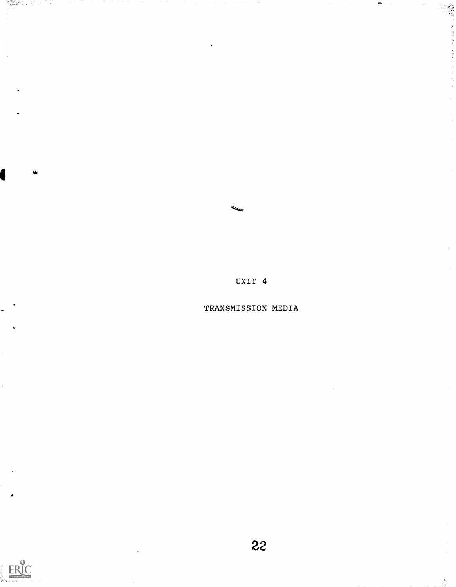UNIT 4

TRANSMISSION MEDIA



 $\tilde{\mathcal{M}}_{\mathcal{G}}$ W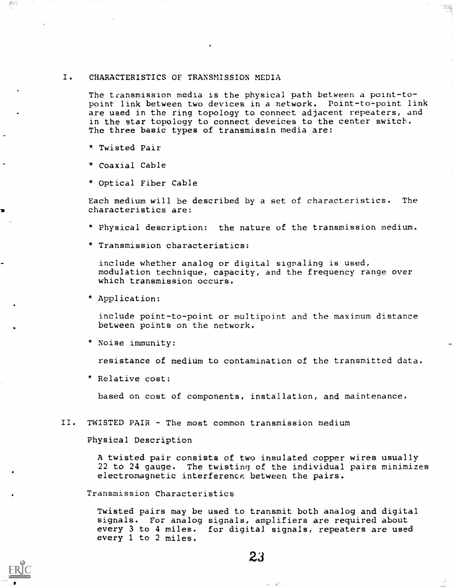#### I. CHARACTERISTICS OF TRANSMISSION MEDIA

The transmission media is the physical path between a point-topoint link between two devices in a network. Point-to-point link are used in the ring topology to connect adjacent repeaters, and in the star topology to connect deveices to the center switch. The three basic types of transmissin media are:

- \* Twisted Pair
- \* Coaxial Cable
- \* Optical Fiber Cable

Each medium will be described by a set of characteristics. The characteristics are:

- \* Physical description: the nature of the transmission medium.
- \* Transmission characteristics:

include whether analog or digital signaling is used, modulation technique, capacity, and the frequency range over which transmission occurs.

\* Application:

include point-to-point or multipoint and the maximum distance between points on the network.

\* Noise immunity:

resistance of medium to contamination of the transmitted data.

\* Relative cost:

based on cost of components, installation, and maintenance.

II. TWISTED PAIR - The most common transmission medium

Physical Description

A twisted pair consists of two insulated copper wires usually 22 to 24 gauge. The twisting of the individual pairs minimizes electromagnetic interference between the pairs.

Transmission Characteristics

Twisted pairs may be used to transmit both analog and digital signals. For analog signals, amplifiers are required about every 3 to 4 miles. for digital signals, repeaters are used every I to 2 miles.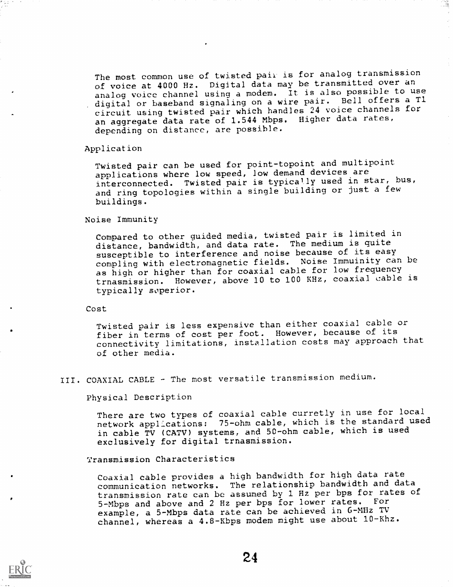The most common use of twisted pair is for analog transmission of voice at 4000 Hz. Digital data may be transmitted over an analog voice channel using a modem. It is also possible to use digital or baseband signaling on a wire pair. Bell offers a Tl circuit using twisted pair which handles 24 voice channels for an aggregate data rate of 1.544 Mbps. Higher data rates, depending on distance, are possible.

Æ.

#### Application

Twisted pair can be used for point-topoint and multipoint applications where low speed, low demand devices are interconnected. Twisted pair is typically used in star, bus, and ring topologies within a single building or just a few buildings.

#### Noise Immunity

Compared to other guided media, twisted pair is limited in distance, bandwidth, and data rate. The medium is quite susceptible to interference and noise because of its easy compling with electromagnetic fields. Noise Immuinity can be as high or higher than for coaxial cable for low frequency trnasmission. However, above 10 to 100 KHz, coaxial cable is typically soperior.

## Cost

Twisted pair is less expensive than either coaxial cable or fiber in terms of cost per foot. However, because of its connectivity limitations, installation costs may approach that of other media.

## III. COAXIAL CABLE - The most versatile transmission medium.

Physical Description

There are two types of coaxial cable curretly in use for local network applications: 75-ohm cable, which is the standard used in cable TV (CATV) systems, and 50-ohm cable, which is used exclusively for digital trnasmission.

#### Transmission Characteristics

Coaxial cable provides a high bandwidth for high data rate communication networks. The relationship bandwidth and data transmission rate can bc assumed by 1 Hz per bps for rates of 5-Mbps and above and 2 Hz per bps for lower rates. For example, a 5-Mbps data rate can be achieved in G-MHz TV channel, whereas a 4.8-Kbps modem might use about 10-Khz.

24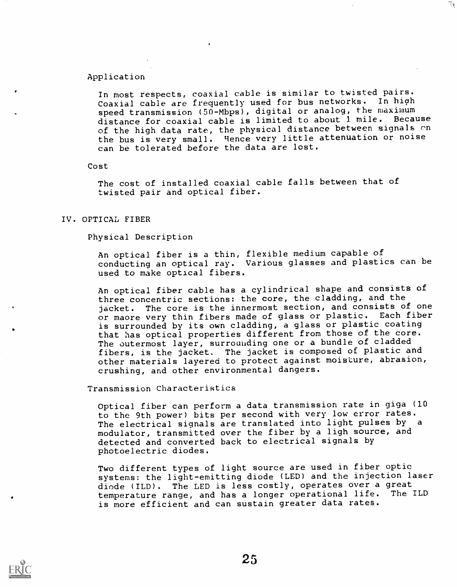#### Application

In most respects, coaxial cable is similar to twisted pairs. Coaxial cable are frequently used for bus networks. In high speed transmission  $(50-\text{Mbps})$ , digital or analog, the maximum distance for coaxial cable is limited to about 1 mile. Because of the high data rate, the physical distance between signals on the bus is very small. Hence very little attenuation or noise can be tolerated before the data are lost.

#### Cost

The cost of installed coaxial cable falls between that of twisted pair and optical fiber.

#### IV. OPTICAL FIBER

Physical Description

An optical fiber is a thin, flexible medium capable of conducting an optical ray. Various glasses and plastics can be used to make optical fibers.

An optical fiber cable has a cylindrical shape and consists of three concentric sections: the core, the cladding, and the jacket. The core is the innermost section, and consists of one or maore very thin fibers made of glass or plastic. Each fiber is surrounded by its own cladding, a glass or plastic coating that has optical properties different from those of the core. The outermost layer, surrounding one or a bundle of cladded fibers, is the jacket. The jacket is composed of plastic and other materials layered to protect against moisture, abrasion, crushing, and other environmental dangers.

Transmission Characteristics

Optical fiber can perform a data transmission rate in giga (10 to the 9th power) bits per second with very low error rates. The electrical signals are translated into light pulses by <sup>a</sup> modulator, transmitted over the fiber by a ligh source, and detected and converted back to electrical signals by photoelectric diodes.

Two different types of light source are used in fiber optic systems: the light-emitting diode (LED) and the injection laser diode (ILD). The LED is less costly, operates over a great<br>temperature range, and has a longer operational life. The ILD temperature range, and has a longer operational life. is more efficient and can sustain greater data rates.